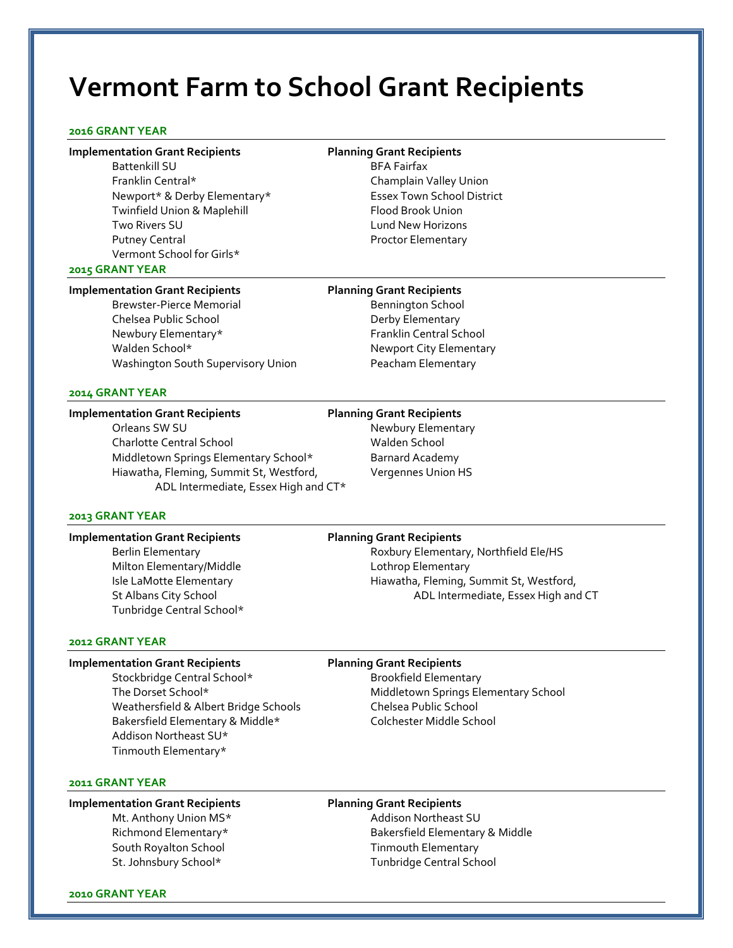# **Vermont Farm to School Grant Recipients**

### **2016 GRANT YEAR**

# **Implementation Grant Recipients Planning Grant Recipients**

Battenkill SU BFA Fairfax Franklin Central\* Champlain Valley Union Newport\* & Derby Elementary\* Essex Town School District Twinfield Union & Maplehill Flood Brook Union Two Rivers SU Lund New Horizons Putney Central **Putney Central** Vermont School for Girls\*

# **2015 GRANT YEAR**

# **Implementation Grant Recipients Planning Grant Recipients**

Brewster-Pierce Memorial Bennington School Chelsea Public School **Derby Elementary** Newbury Elementary\* The Controller of the Franklin Central School Walden School\* Newport City Elementary Washington South Supervisory Union Peacham Elementary

# **2014 GRANT YEAR**

# **Implementation Grant Recipients Planning Grant Recipients** Orleans SW SU Newbury Elementary

Charlotte Central School Walden School Middletown Springs Elementary School\* Barnard Academy Hiawatha, Fleming, Summit St, Westford, Vergennes Union HS ADL Intermediate, Essex High and CT\*

# **2013 GRANT YEAR**

### **Implementation Grant Recipients Planning Grant Recipients**

Milton Elementary/Middle Lothrop Elementary Tunbridge Central School\*

Berlin Elementary **Roxbury Elementary, Northfield Ele/HS** Isle LaMotte Elementary **Hiawatha, Fleming, Summit St, Westford,** St Albans City School and CT ADL Intermediate, Essex High and CT

### **2012 GRANT YEAR**

### **Implementation Grant Recipients Planning Grant Recipients**

Stockbridge Central School\* Brookfield Elementary Weathersfield & Albert Bridge Schools Chelsea Public School Bakersfield Elementary & Middle\* Colchester Middle School Addison Northeast SU\* Tinmouth Elementary\*

The Dorset School\* Middletown Springs Elementary School

### **2011 GRANT YEAR**

# **Implementation Grant Recipients Planning Grant Recipients**

South Royalton School **Timmouth Elementary** 

Mt. Anthony Union MS\* Addison Northeast SU Richmond Elementary\* The Controller Bakersfield Elementary & Middle St. Johnsbury School\* Tunbridge Central School

**2010 GRANT YEAR**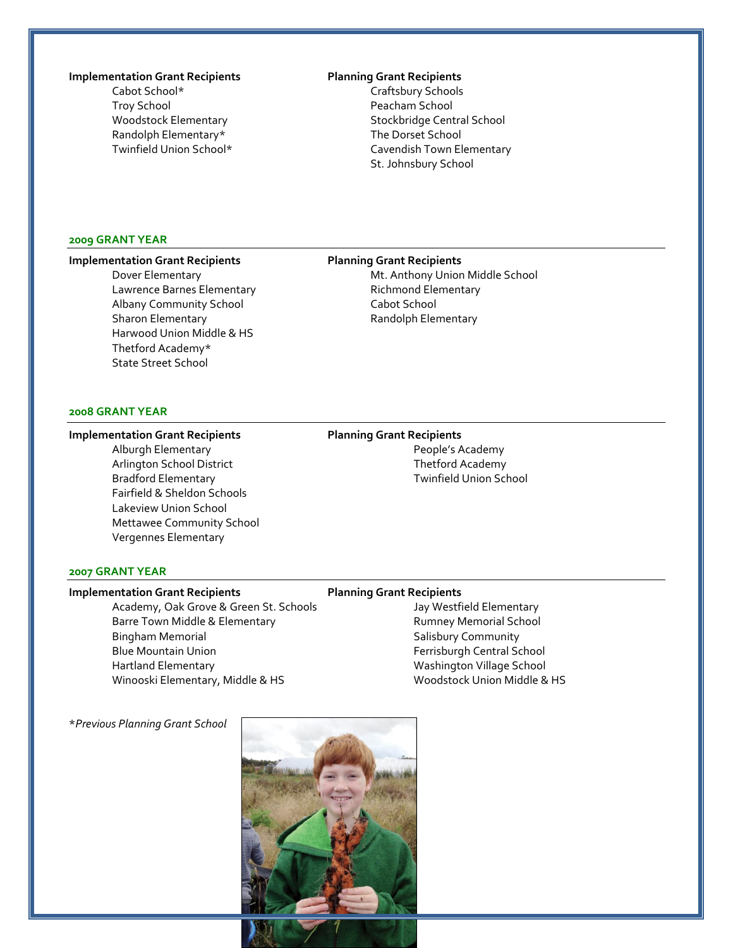# **Implementation Grant Recipients Planning Grant Recipients**

Troy School **Peacham School** Randolph Elementary\* The Dorset School

Cabot School\* Craftsbury Schools Woodstock Elementary **Stockbridge Central School** Twinfield Union School\* Twinfield Union School\* Cavendish Town Elementary St. Johnsbury School

### **2009 GRANT YEAR**

# **Implementation Grant Recipients Planning Grant Recipients**

Lawrence Barnes Elementary **Richmond Elementary** Albany Community School Cabot School Sharon Elementary **Randolph Elementary Randolph Elementary** Harwood Union Middle & HS Thetford Academy\* State Street School

Dover Elementary **Mt. Anthony Union Middle School** 

# **2008 GRANT YEAR**

# **Implementation Grant Recipients Planning Grant Recipients**

Alburgh Elementary **Alburgh Elementary People's Academy** Arlington School District Thetford Academy Bradford Elementary **Twinfield Union School** Fairfield & Sheldon Schools Lakeview Union School Mettawee Community School Vergennes Elementary

# **2007 GRANT YEAR**

# **Implementation Grant Recipients Planning Grant Recipients**

Academy, Oak Grove & Green St. Schools Jay Westfield Elementary Barre Town Middle & Elementary The Communication of Rumney Memorial School Bingham Memorial **Salisbury Community** Salisbury Community Blue Mountain Union **Ferrisburgh Central School** Hartland Elementary **Washington Village School** Winooski Elementary, Middle & HS Woodstock Union Middle & HS

# \**Previous Planning Grant School*